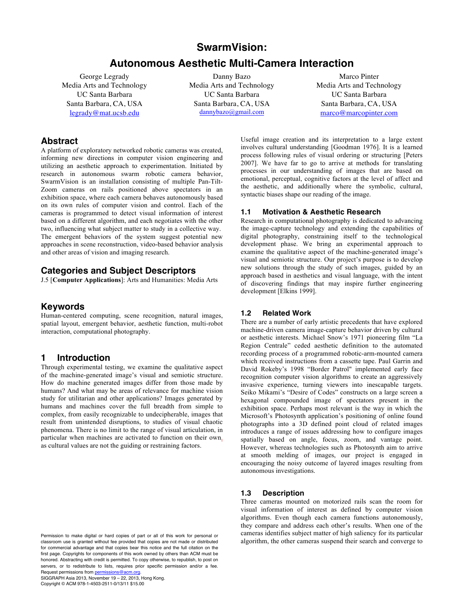# **SwarmVision:**

# **Autonomous Aesthetic Multi-Camera Interaction**

George Legrady Media Arts and Technology UC Santa Barbara Santa Barbara, CA, USA legrady@mat.ucsb.edu

Danny Bazo Media Arts and Technology UC Santa Barbara Santa Barbara, CA, USA dannybazo@gmail.com

Marco Pinter Media Arts and Technology UC Santa Barbara Santa Barbara, CA, USA marco@marcopinter.com

## **Abstract**

A platform of exploratory networked robotic cameras was created, informing new directions in computer vision engineering and utilizing an aesthetic approach to experimentation. Initiated by research in autonomous swarm robotic camera behavior, SwarmVision is an installation consisting of multiple Pan-Tilt-Zoom cameras on rails positioned above spectators in an exhibition space, where each camera behaves autonomously based on its own rules of computer vision and control. Each of the cameras is programmed to detect visual information of interest based on a different algorithm, and each negotiates with the other two, influencing what subject matter to study in a collective way. The emergent behaviors of the system suggest potential new approaches in scene reconstruction, video-based behavior analysis and other areas of vision and imaging research.

## **Categories and Subject Descriptors**

J.5 [**Computer Applications**]: Arts and Humanities: Media Arts

## **Keywords**

Human-centered computing, scene recognition, natural images, spatial layout, emergent behavior, aesthetic function, multi-robot interaction, computational photography.

## **1 Introduction**

Through experimental testing, we examine the qualitative aspect of the machine-generated image's visual and semiotic structure. How do machine generated images differ from those made by humans? And what may be areas of relevance for machine vision study for utilitarian and other applications? Images generated by humans and machines cover the full breadth from simple to complex, from easily recognizable to undecipherable, images that result from unintended disruptions, to studies of visual chaotic phenomena. There is no limit to the range of visual articulation, in particular when machines are activated to function on their own, as cultural values are not the guiding or restraining factors.

Permission to make digital or hard copies of part or all of this work for personal or classroom use is granted without fee provided that copies are not made or distributed for commercial advantage and that copies bear this notice and the full citation on the first page. Copyrights for components of this work owned by others than ACM must be honored. Abstracting with credit is permitted. To copy otherwise, to republish, to post on servers, or to redistribute to lists, requires prior specific permission and/or a fee. Request permissions from permissions@acm.org

SIGGRAPH Asia 2013, November 19 – 22, 2013, Hong Kong. Copyright © ACM 978-1-4503-2511-0/13/11 \$15.00

Useful image creation and its interpretation to a large extent involves cultural understanding [Goodman 1976]. It is a learned process following rules of visual ordering or structuring [Peters 2007]. We have far to go to arrive at methods for translating processes in our understanding of images that are based on emotional, perceptual, cognitive factors at the level of affect and the aesthetic, and additionally where the symbolic, cultural, syntactic biases shape our reading of the image.

### **1.1 Motivation & Aesthetic Research**

Research in computational photography is dedicated to advancing the image-capture technology and extending the capabilities of digital photography, constraining itself to the technological development phase. We bring an experimental approach to examine the qualitative aspect of the machine-generated image's visual and semiotic structure. Our project's purpose is to develop new solutions through the study of such images, guided by an approach based in aesthetics and visual language, with the intent of discovering findings that may inspire further engineering development [Elkins 1999].

### **1.2 Related Work**

There are a number of early artistic precedents that have explored machine-driven camera image-capture behavior driven by cultural or aesthetic interests. Michael Snow's 1971 pioneering film "La Region Centrale" ceded aesthetic definition to the automated recording process of a programmed robotic-arm-mounted camera which received instructions from a cassette tape. Paul Garrin and David Rokeby's 1998 "Border Patrol" implemented early face recognition computer vision algorithms to create an aggressively invasive experience, turning viewers into inescapable targets. Seiko Mikami's "Desire of Codes" constructs on a large screen a hexagonal compounded image of spectators present in the exhibition space. Perhaps most relevant is the way in which the Microsoft's Photosynth application's positioning of online found photographs into a 3D defined point cloud of related images introduces a range of issues addressing how to configure images spatially based on angle, focus, zoom, and vantage point. However, whereas technologies such as Photosynth aim to arrive at smooth melding of images, our project is engaged in encouraging the noisy outcome of layered images resulting from autonomous investigations.

### **1.3 Description**

Three cameras mounted on motorized rails scan the room for visual information of interest as defined by computer vision algorithms. Even though each camera functions autonomously, they compare and address each other's results. When one of the cameras identifies subject matter of high saliency for its particular algorithm, the other cameras suspend their search and converge to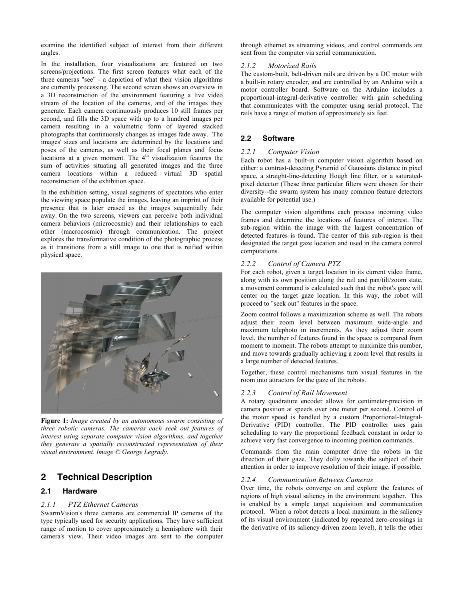examine the identified subject of interest from their different angles.

In the installation, four visualizations are featured on two screens/projections. The first screen features what each of the three cameras "see" - a depiction of what their vision algorithms are currently processing. The second screen shows an overview in a 3D reconstruction of the environment featuring a live video stream of the location of the cameras, and of the images they generate. Each camera continuously produces 10 still frames per second, and fills the 3D space with up to a hundred images per camera resulting in a volumetric form of layered stacked photographs that continuously changes as images fade away. The images' sizes and locations are determined by the locations and poses of the cameras, as well as their focal planes and focus locations at a given moment. The  $4<sup>th</sup>$  visualization features the sum of activities situating all generated images and the three camera locations within a reduced virtual 3D spatial reconstruction of the exhibition space.

In the exhibition setting, visual segments of spectators who enter the viewing space populate the images, leaving an imprint of their presence that is later erased as the images sequentially fade away. On the two screens, viewers can perceive both individual camera behaviors (microcosmic) and their relationships to each other (macrocosmic) through communication. The project explores the transformative condition of the photographic process as it transitions from a still image to one that is reified within physical space.



**Figure 1:** *Image created by an autonomous swarm consisting of three robotic cameras. The cameras each seek out features of interest using separate computer vision algorithms, and together they generate a spatially reconstructed representation of their visual environment. Image © George Legrady.*

## **2 Technical Description**

### **2.1 Hardware**

### *2.1.1 PTZ Ethernet Cameras*

SwarmVision's three cameras are commercial IP cameras of the type typically used for security applications. They have sufficient range of motion to cover approximately a hemisphere with their camera's view. Their video images are sent to the computer through ethernet as streaming videos, and control commands are sent from the computer via serial communication.

#### *2.1.2 Motorized Rails*

The custom-built, belt-driven rails are driven by a DC motor with a built-in rotary encoder, and are controlled by an Arduino with a motor controller board. Software on the Arduino includes a proportional-integral-derivative controller with gain scheduling that communicates with the computer using serial protocol. The rails have a range of motion of approximately six feet.

### **2.2 Software**

#### *2.2.1 Computer Vision*

Each robot has a built-in computer vision algorithm based on either: a contrast-detecting Pyramid of Gaussians distance in pixel space, a straight-line-detecting Hough line filter, or a saturatedpixel detector (These three particular filters were chosen for their diversity--the swarm system has many common feature detectors available for potential use.)

The computer vision algorithms each process incoming video frames and determine the locations of features of interest. The sub-region within the image with the largest concentration of detected features is found. The center of this sub-region is then designated the target gaze location and used in the camera control computations.

#### *2.2.2 Control of Camera PTZ*

For each robot, given a target location in its current video frame, along with its own position along the rail and pan/tilt/zoom state, a movement command is calculated such that the robot's gaze will center on the target gaze location. In this way, the robot will proceed to "seek out" features in the space.

Zoom control follows a maximization scheme as well. The robots adjust their zoom level between maximum wide-angle and maximum telephoto in increments. As they adjust their zoom level, the number of features found in the space is compared from moment to moment. The robots attempt to maximize this number, and move towards gradually achieving a zoom level that results in a large number of detected features.

Together, these control mechanisms turn visual features in the room into attractors for the gaze of the robots.

### *2.2.3 Control of Rail Movement*

A rotary quadrature encoder allows for centimeter-precision in camera position at speeds over one meter per second. Control of the motor speed is handled by a custom Proportional-Integral-Derivative (PID) controller. The PID controller uses gain scheduling to vary the proportional feedback constant in order to achieve very fast convergence to incoming position commands.

Commands from the main computer drive the robots in the direction of their gaze. They dolly towards the subject of their attention in order to improve resolution of their image, if possible.

#### *2.2.4 Communication Between Cameras*

Over time, the robots converge on and explore the features of regions of high visual saliency in the environment together. This is enabled by a simple target acquisition and communication protocol. When a robot detects a local maximum in the saliency of its visual environment (indicated by repeated zero-crossings in the derivative of its saliency-driven zoom level), it tells the other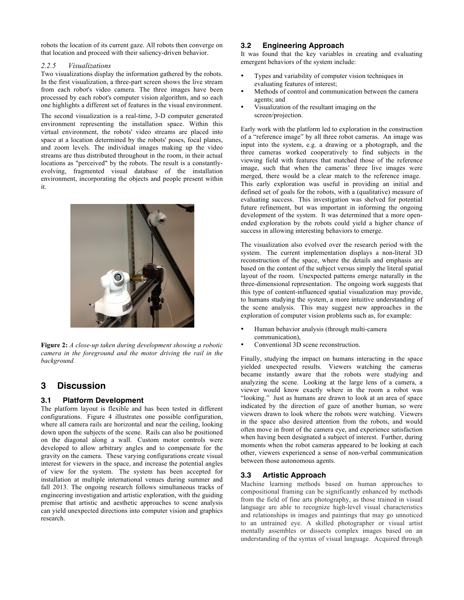robots the location of its current gaze. All robots then converge on that location and proceed with their saliency-driven behavior.

#### *2.2.5 Visualizations*

Two visualizations display the information gathered by the robots. In the first visualization, a three-part screen shows the live stream from each robot's video camera. The three images have been processed by each robot's computer vision algorithm, and so each one highlights a different set of features in the visual environment.

The second visualization is a real-time, 3-D computer generated environment representing the installation space. Within this virtual environment, the robots' video streams are placed into space at a location determined by the robots' poses, focal planes, and zoom levels. The individual images making up the video streams are thus distributed throughout in the room, in their actual locations as "perceived" by the robots. The result is a constantlyevolving, fragmented visual database of the installation environment, incorporating the objects and people present within it.



**Figure 2:** *A close-up taken during development showing a robotic camera in the foreground and the motor driving the rail in the background.*

# **3 Discussion**

## **3.1 Platform Development**

The platform layout is flexible and has been tested in different configurations. Figure 4 illustrates one possible configuration, where all camera rails are horizontal and near the ceiling, looking down upon the subjects of the scene. Rails can also be positioned on the diagonal along a wall. Custom motor controls were developed to allow arbitrary angles and to compensate for the gravity on the camera. These varying configurations create visual interest for viewers in the space, and increase the potential angles of view for the system. The system has been accepted for installation at multiple international venues during summer and fall 2013. The ongoing research follows simultaneous tracks of engineering investigation and artistic exploration, with the guiding premise that artistic and aesthetic approaches to scene analysis can yield unexpected directions into computer vision and graphics research.

## **3.2 Engineering Approach**

It was found that the key variables in creating and evaluating emergent behaviors of the system include:

- Types and variability of computer vision techniques in evaluating features of interest;
- Methods of control and communication between the camera agents; and
- Visualization of the resultant imaging on the screen/projection.

Early work with the platform led to exploration in the construction of a "reference image" by all three robot cameras. An image was input into the system, e.g. a drawing or a photograph, and the three cameras worked cooperatively to find subjects in the viewing field with features that matched those of the reference image, such that when the cameras' three live images were merged, there would be a clear match to the reference image. This early exploration was useful in providing an initial and defined set of goals for the robots, with a (qualitative) measure of evaluating success. This investigation was shelved for potential future refinement, but was important in informing the ongoing development of the system. It was determined that a more openended exploration by the robots could yield a higher chance of success in allowing interesting behaviors to emerge.

The visualization also evolved over the research period with the system. The current implementation displays a non-literal 3D reconstruction of the space, where the details and emphasis are based on the content of the subject versus simply the literal spatial layout of the room. Unexpected patterns emerge naturally in the three-dimensional representation. The ongoing work suggests that this type of content-influenced spatial visualization may provide, to humans studying the system, a more intuitive understanding of the scene analysis. This may suggest new approaches in the exploration of computer vision problems such as, for example:

- Human behavior analysis (through multi-camera communication),
- Conventional 3D scene reconstruction.

Finally, studying the impact on humans interacting in the space yielded unexpected results. Viewers watching the cameras became instantly aware that the robots were studying and analyzing the scene. Looking at the large lens of a camera, a viewer would know exactly where in the room a robot was "looking." Just as humans are drawn to look at an area of space indicated by the direction of gaze of another human, so were viewers drawn to look where the robots were watching. Viewers in the space also desired attention from the robots, and would often move in front of the camera eye, and experience satisfaction when having been designated a subject of interest. Further, during moments when the robot cameras appeared to be looking at each other, viewers experienced a sense of non-verbal communication between those autonomous agents.

## **3.3 Artistic Approach**

Machine learning methods based on human approaches to compositional framing can be significantly enhanced by methods from the field of fine arts photography, as those trained in visual language are able to recognize high-level visual characteristics and relationships in images and paintings that may go unnoticed to an untrained eye. A skilled photographer or visual artist mentally assembles or dissects complex images based on an understanding of the syntax of visual language. Acquired through